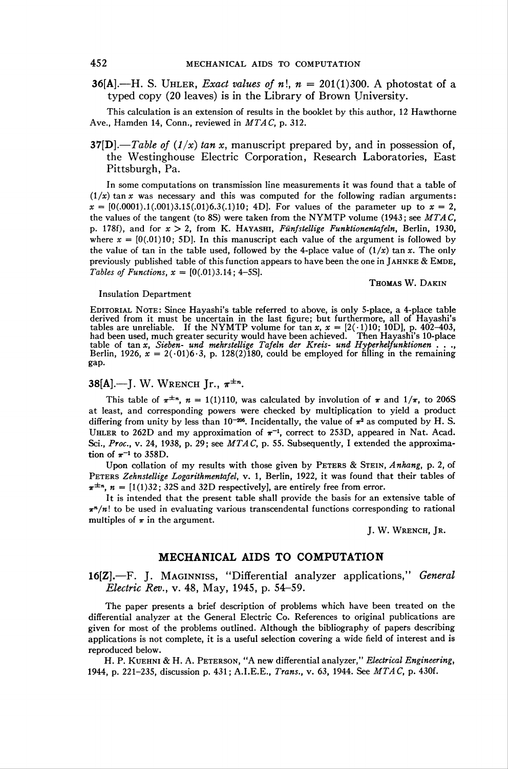36[A].—H. S. UHLER, Exact values of n!,  $n = 201(1)300$ . A photostat of a typed copy (20 leaves) is in the Library of Brown University.

This calculation is an extension of results in the booklet by this author, 12 Hawthorne Ave., Hamden 14, Conn., reviewed in  $MTAC$ , p. 312.

37[D].—Table of  $(1/x)$  tan x, manuscript prepared by, and in possession of, the Westinghouse Electric Corporation, Research Laboratories, East Pittsburgh, Pa.

In some computations on transmission line measurements it was found that a table of  $(1/x)$  tan x was necessary and this was computed for the following radian arguments:  $x = [0(.0001).1(.001)3.15(.01)6.3(.1)10; 4D]$ . For values of the parameter up to  $x = 2$ , the values of the tangent (to 8S) were taken from the NYMTP volume (1943; see  $MTAC$ , p. 178f), and for  $x > 2$ , from K. HAYASHI, Fünfstellige Funktionentafeln, Berlin, 1930, where  $x = [0(0.01)10; 5D]$ . In this manuscript each value of the argument is followed by the value of tan in the table used, followed by the 4-place value of  $(1/x)$  tan x. The only previously published table of this function appears to have been the one in JAHNKE  $\&$  EMDE, Tables of Functions,  $x = [0(.01)3.14; 4-5S]$ .

#### Insulation Department

EDITORIAL NOTE: Since Hayashi's table referred to above, is only 5-place, a 4-place table derived from it must be uncertain in the last figure; but furthermore, all of Hayashi's<br>tables are unreliable. If the NYMTP volume for tan  $x$ ,  $x = [2(\cdot 1)10; 10D]$ , p. 402–403,<br>had been used, much greater security would h gap.

# 38[A].—J. W. WRENCH Jr.,  $\pi^{\pm n}$ .

This table of  $\pi^{\pm n}$ ,  $n = 1(1)110$ , was calculated by involution of  $\pi$  and  $1/\pi$ , to 206S at least, and corresponding powers were checked by multiplication to yield a product differing from unity by less than  $10^{-206}$ . Incidentally, the value of  $\pi^2$  as computed by H. S. UHLER to 262D and my approximation of  $\pi^{-1}$ , correct to 253D, appeared in Nat. Acad. Sci., Proc., v. 24, 1938, p. 29; see  $MTAC$ , p. 55. Subsequently, I extended the approximation of  $\pi^{-1}$  to 358D.

Upon collation of my results with those given by PETERS & STEIN, Anhang, p. 2, of Peters Zehnstellige Logarithmentafel, v. 1, Berlin, 1922, it was found that their tables of  $\pi^{\pm n}$ ,  $n = [1(1)32; 32S \text{ and } 32D \text{ respectively}]$ , are entirely free from error.

It is intended that the present table shall provide the basis for an extensive table of  $\pi^{n}/n!$  to be used in evaluating various transcendental functions corresponding to rational multiples of  $\pi$  in the argument.

J. W. WRENCH, JR.

Thomas W. Dakin

## MECHANICAL AIDS TO COMPUTATION

16[Z].—F. J. Maginniss, "Differential analyzer applications," General Electric Rev., v. 48, May, 1945, p. 54-59.

The paper presents a brief description of problems which have been treated on the differential analyzer at the General Electric Co. References to original publications are given for most of the problems outlined. Although the bibliography of papers describing applications is not complete, it is a useful selection covering a wide field of interest and is reproduced below.

H. P. KUEHNI & H. A. PETERSON, "A new differential analyzer," Electrical Engineering, 1944, p. 221-235, discussion p. 431; A.I.E.E., *Trans.*, v. 63, 1944. See *MTAC*, p. 430f.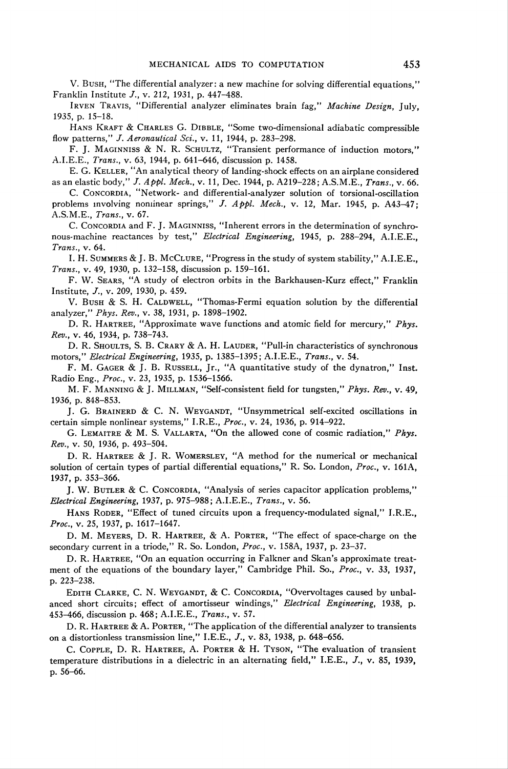V. Bush, "The differential analyzer: a new machine for solving differential equations," Franklin Institute /., v. 212, 1931, p. 447-488.

IRVEN TRAVIS, "Differential analyzer eliminates brain fag," Machine Design, July, 1935, p. 15-18.

HANS KRAFT & CHARLES G. DIBBLE, "Some two-dimensional adiabatic compressible flow patterns," J. Aeronautical Sci., v. 11, 1944, p. 283-298.

F. J. MAGINNISS & N. R. SCHULTZ, "Transient performance of induction motors," A.I.E.E., Trans., v. 63, 1944, p. 641-646, discussion p. 1458.

E. G. Keller, "An analytical theory of landing-shock effects on an airplane considered as an elastic body," J. Appl. Mech., v. 11, Dec. 1944, p. A219-228; A.S.M.E., Trans., v. 66.

C. CONCORDIA, "Network- and differential-analyzer solution of torsional-oscillation problems involving nonlinear springs," J. Appl. Mech., v. 12, Mar. 1945, p. A43-47; A.S.M.E., Trans., v. 67.

C. CONCORDIA and F. J. MAGINNISS, "Inherent errors in the determination of synchronous-machine reactances by test," Electrical Engineering, 1945, p. 288-294, A.I.E.E., Trans., v. 64.

I. H. Summers & J. B. McClure, "Progress in the study of system stability," A.I.E.E., Trans., v. 49, 1930, p. 132-158, discussion p. 159-161.

F. W. Sears, "A study of electron orbits in the Barkhausen-Kurz effect," Franklin Institute, J., v. 209, 1930, p. 459.

V. Bush & S. H. CALDWELL, "Thomas-Fermi equation solution by the differential analyzer," Phys. Rev., v. 38, 1931, p. 1898-1902.

D. R. HARTREE, "Approximate wave functions and atomic field for mercury," Phys. Rev., v. 46, 1934, p. 738-743.

D. R. SHOULTS, S. B. CRARY & A. H. LAUDER, "Pull-in characteristics of synchronous motors," Electrical Engineering, 1935, p. 1385-1395; A.I.E.E., Trans., v. 54.

F. M. GAGER & J. B. RUSSELL, Jr., "A quantitative study of the dynatron," Inst. Radio Eng., Proc, v. 23, 1935, p. 1536-1566.

M. F. Manning & J. Millman, "Self-consistent field for tungsten," Phys. Rev., v. 49, 1936, p. 848-853.

J. G. BRAINERD & C. N. WEYGANDT, "Unsymmetrical self-excited oscillations in certain simple nonlinear systems," I.R.E., Proc., v. 24, 1936, p. 914-922.

G. Lemaitre & M. S. Vallarta, "On the allowed cone of cosmic radiation," Phys. Rev., v. 50, 1936, p. 493-504.

D. R. Hartree & J. R. Womersley, "A method for the numerical or mechanical solution of certain types of partial differential equations," R. So. London, Proc, v. 161A, 1937, p. 353-366.

J. W. Butler & C. Concordia, "Analysis of series capacitor application problems," Electrical Engineering, 1937, p. 975-988; A.I.E.E., Trans., v. 56.

HANS RODER, "Effect of tuned circuits upon a frequency-modulated signal," I.R.E., Proc., v. 25, 1937, p. 1617-1647.

D. M. Meyers, D. R. Hartree, & A. Porter, "The effect of space-charge on the secondary current in a triode," R. So. London, Proc., v. 158A, 1937, p. 23-37.

D. R. Hartree, "On an equation occurring in Falkner and Skan's approximate treatment of the equations of the boundary layer," Cambridge Phil. So., Proc., v. 33, 1937, p. 223-238.

EDITH CLARKE, C. N. WEYGANDT, & C. CONCORDIA, "Overvoltages caused by unbalanced short circuits; effect of amortisseur windings," Electrical Engineering, 1938, p. 453—166, discussion p. 468; A.I.E.E., Trans., v. 57.

D. R. Hartree & A. Porter, "The application of the differential analyzer to transients on a distortionless transmission line," I.E.E., J., v. 83, 1938, p. 648-656.

C. Copple, D. R. Hartree, A. Porter & H. Tyson, "The evaluation of transient temperature distributions in a dielectric in an alternating field," I.E.E.,  $J.$ , v. 85, 1939, p. 56-66.